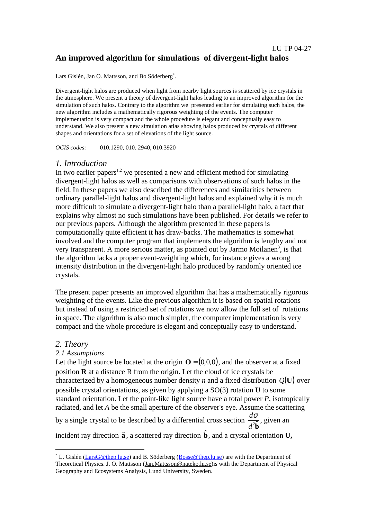# LU TP 04-27 **An improved algorithm for simulations of divergent-light halos**

Lars Gislén, Jan O. Mattsson, and Bo Söderberg\* .

Divergent-light halos are produced when light from nearby light sources is scattered by ice crystals in the atmosphere. We present a theory of divergent-light halos leading to an improved algorithm for the simulation of such halos. Contrary to the algorithm we presented earlier for simulating such halos, the new algorithm includes a mathematically rigorous weighting of the events. The computer implementation is very compact and the whole procedure is elegant and conceptually easy to understand. We also present a new simulation atlas showing halos produced by crystals of different shapes and orientations for a set of elevations of the light source.

*OCIS codes:* 010.1290, 010. 2940, 010.3920

# *1. Introduction*

In two earlier papers<sup>1,2</sup> we presented a new and efficient method for simulating divergent-light halos as well as comparisons with observations of such halos in the field. In these papers we also described the differences and similarities between ordinary parallel-light halos and divergent-light halos and explained why it is much more difficult to simulate a divergent-light halo than a parallel-light halo, a fact that explains why almost no such simulations have been published. For details we refer to our previous papers. Although the algorithm presented in these papers is computationally quite efficient it has draw-backs. The mathematics is somewhat involved and the computer program that implements the algorithm is lengthy and not very transparent. A more serious matter, as pointed out by Jarmo Moilanen<sup>3</sup>, is that the algorithm lacks a proper event-weighting which, for instance gives a wrong intensity distribution in the divergent-light halo produced by randomly oriented ice crystals.

The present paper presents an improved algorithm that has a mathematically rigorous weighting of the events. Like the previous algorithm it is based on spatial rotations but instead of using a restricted set of rotations we now allow the full set of rotations in space. The algorithm is also much simpler, the computer implementation is very compact and the whole procedure is elegant and conceptually easy to understand.

# *2. Theory*

## *2.1 Assumptions*

Let the light source be located at the origin  $\mathbf{O} = (0,0,0)$ , and the observer at a fixed position **R** at a distance R from the origin. Let the cloud of ice crystals be characterized by a homogeneous number density *n* and a fixed distribution  $Q(U)$  over possible crystal orientations, as given by applying a SO(3) rotation **U** to some standard orientation. Let the point-like light source have a total power *P*, isotropically radiated, and let *A* be the small aperture of the observer's eye. Assume the scattering by a single crystal to be described by a differential cross section *<sup>d</sup> d* σ  $\overline{^{2}\hat{\mathbf{b}}}$ , given an incident ray direction  $\hat{\bf{a}}$ , a scattered ray direction  $\hat{\bf{b}}$ , and a crystal orientation  $\bf{U},$ 

 <sup>\*</sup> L. Gislén (LarsG@thep.lu.se) and B. Söderberg (Bosse@thep.lu.se) are with the Department of Theoretical Physics. J. O. Mattsson (Jan.Mattsson@nateko.lu.se)is with the Department of Physical Geography and Ecosystems Analysis, Lund University, Sweden.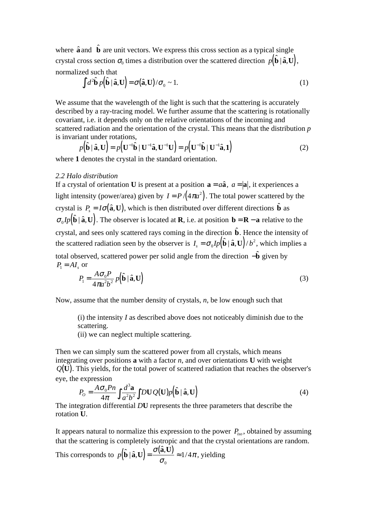where  $\hat{\mathbf{a}}$  and  $\hat{\mathbf{b}}$  are unit vectors. We express this cross section as a typical single crystal cross section  $\sigma_0$  times a distribution over the scattered direction  $p(\hat{\textbf{b}}\,|\, \hat{\textbf{a}}, \textbf{U})$ , normalized such that

$$
\int d^2 \hat{\mathbf{b}} \, p(\hat{\mathbf{b}} \mid \hat{\mathbf{a}}, \mathbf{U}) = \sigma(\hat{\mathbf{a}}, \mathbf{U}) / \sigma_0 \sim 1. \tag{1}
$$

We assume that the wavelength of the light is such that the scattering is accurately described by a ray-tracing model. We further assume that the scattering is rotationally covariant, i.e. it depends only on the relative orientations of the incoming and scattered radiation and the orientation of the crystal. This means that the distribution *p* is invariant under rotations,

$$
p(\hat{\mathbf{b}} \mid \hat{\mathbf{a}}, \mathbf{U}) = p(\mathbf{U}^{-1} \hat{\mathbf{b}} \mid \mathbf{U}^{-1} \hat{\mathbf{a}}, \mathbf{U}^{-1} \mathbf{U}) = p(\mathbf{U}^{-1} \hat{\mathbf{b}} \mid \mathbf{U}^{-1} \hat{\mathbf{a}}, \mathbf{1})
$$
(2)

where **1** denotes the crystal in the standard orientation.

### *2.2 Halo distribution*

If a crystal of orientation **U** is present at a position  $\mathbf{a} = a\hat{\mathbf{a}}$ ,  $a = |\mathbf{a}|$ , it experiences a light intensity (power/area) given by  $I = P/(4\pi a^2)$ . The total power scattered by the crystal is  $P_s = I\sigma(\hat{\mathbf{a}}, \mathbf{U})$ , which is then distributed over different directions  $\hat{\mathbf{b}}$  as  $\sigma_0 I_p(\hat{\mathbf{b}} | \hat{\mathbf{a}}, \mathbf{U})$ . The observer is located at **R**, i.e. at position  $\mathbf{b} = \mathbf{R} - \mathbf{a}$  relative to the crystal, and sees only scattered rays coming in the direction  $\hat{\mathbf{b}}$ . Hence the intensity of the scattered radiation seen by the observer is  $I_s = \sigma_0 I p(\hat{\mathbf{b}} | \hat{\mathbf{a}}, \mathbf{U}) / b^2$ , which implies a total observed, scattered power per solid angle from the direction −**b** given by

 $P_1 = AI$ , or

$$
P_1 = \frac{A\sigma_0 P}{4\pi a^2 b^2} p(\hat{\mathbf{b}} \mid \hat{\mathbf{a}}, \mathbf{U})
$$
\n(3)

Now, assume that the number density of crystals, *n*, be low enough such that

(i) the intensity *I* as described above does not noticeably diminish due to the scattering.

(ii) we can neglect multiple scattering.

Then we can simply sum the scattered power from all crystals, which means integrating over positions **a** with a factor *n*, and over orientations **U** with weight  $Q(U)$ . This yields, for the total power of scattered radiation that reaches the observer's eye, the expression

$$
P_0 = \frac{A\sigma_0 P n}{4\pi} \int \frac{d^3 \mathbf{a}}{a^2 b^2} \int D\mathbf{U} Q(\mathbf{U}) p(\hat{\mathbf{b}} \mid \hat{\mathbf{a}}, \mathbf{U})
$$
(4)

The integration differential *D***U** represents the three parameters that describe the rotation **U**.

It appears natural to normalize this expression to the power  $P_{iso}$ , obtained by assuming that the scattering is completely isotropic and that the crystal orientations are random. This corresponds to  $p(\hat{\mathbf{b}} | \hat{\mathbf{a}}, \mathbf{U}) = \frac{\sigma(\hat{\mathbf{a}}, \mathbf{U})}{\sigma_{o}} \approx 1/$ π 0  $1/4\pi$ , yielding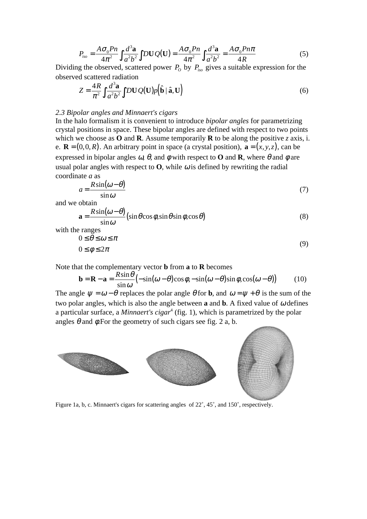$$
P_{iso} = \frac{A\sigma_0 P n}{4\pi^2} \int \frac{d^3 \mathbf{a}}{a^2 b^2} \int D\mathbf{U} Q(\mathbf{U}) = \frac{A\sigma_0 P n}{4\pi^2} \int \frac{d^3 \mathbf{a}}{a^2 b^2} = \frac{A\sigma_0 P n \pi}{4R}
$$
(5)

Dividing the observed, scattered power  $P_0$  by  $P_{iso}$  gives a suitable expression for the observed scattered radiation

$$
Z = \frac{4R}{\pi^2} \int \frac{d^3 \mathbf{a}}{a^2 b^2} \int D\mathbf{U} Q(\mathbf{U}) p(\hat{\mathbf{b}} \mid \hat{\mathbf{a}}, \mathbf{U})
$$
(6)

#### *2.3 Bipolar angles and Minnaert's cigars*

In the halo formalism it is convenient to introduce *bipolar angles* for parametrizing crystal positions in space. These bipolar angles are defined with respect to two points which we choose as **O** and **R**. Assume temporarily **R** to be along the positive *z* axis, i. e.  $\mathbf{R} = (0, 0, R)$ . An arbitrary point in space (a crystal position),  $\mathbf{a} = (x, y, z)$ , can be expressed in bipolar angles  $\omega$ ,  $\theta$ , and  $\phi$  with respect to **O** and **R**, where  $\theta$  and  $\phi$  are usual polar angles with respect to  $\mathbf{O}$ , while  $\omega$  is defined by rewriting the radial coordinate *a* as

$$
a = \frac{R\sin(\omega - \theta)}{\sin \omega} \tag{7}
$$

and we obtain

$$
\mathbf{a} = \frac{R\sin(\omega - \theta)}{\sin \omega} (\sin \theta \cos \phi, \sin \theta \sin \phi, \cos \theta)
$$
 (8)

with the ranges

$$
0 \le \theta \le \omega \le \pi
$$
  
 
$$
0 \le \phi \le 2\pi
$$
 (9)

Note that the complementary vector **b** from **a** to **R** becomes

$$
\mathbf{b} = \mathbf{R} - \mathbf{a} = \frac{R\sin\theta}{\sin\omega} \left( -\sin(\omega - \theta)\cos\phi, -\sin(\omega - \theta)\sin\phi, \cos(\omega - \theta) \right) \tag{10}
$$

The angle  $\psi = \omega - \theta$  replaces the polar angle  $\theta$  for **b**, and  $\omega = \psi + \theta$  is the sum of the two polar angles, which is also the angle between **a** and **b**. A fixed value of  $\omega$  defines a particular surface, a *Minnaert's cigar*<sup>4</sup> (fig. 1), which is parametrized by the polar angles  $\theta$  and  $\phi$ . For the geometry of such cigars see fig. 2 a, b.



Figure 1a, b, c. Minnaert's cigars for scattering angles of 22˚, 45˚, and 150˚, respectively.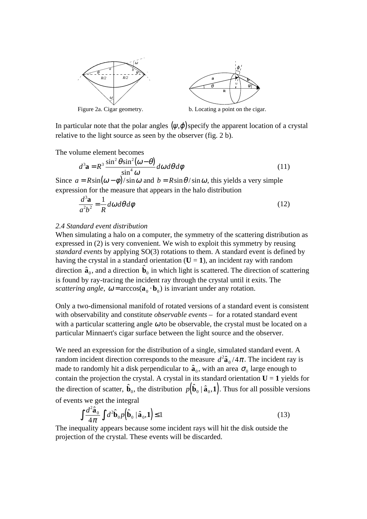



Figure 2a. Cigar geometry. b. Locating a point on the cigar.

In particular note that the polar angles  $(\psi, \varphi)$  specify the apparent location of a crystal relative to the light source as seen by the observer (fig. 2 b).

The volume element becomes

$$
d^3 \mathbf{a} = R^3 \frac{\sin^2 \theta \sin^2 (\omega - \theta)}{\sin^4 \omega} d\omega d\theta d\phi
$$
 (11)

Since  $a = R\sin(\omega - \phi)/\sin \omega$  and  $b = R\sin\theta/\sin \omega$ , this yields a very simple expression for the measure that appears in the halo distribution

$$
\frac{d^3\mathbf{a}}{a^2b^2} = \frac{1}{R} d\omega d\theta d\phi
$$
 (12)

### *2.4 Standard event distribution*

When simulating a halo on a computer, the symmetry of the scattering distribution as expressed in (2) is very convenient. We wish to exploit this symmetry by reusing *standard events* by applying SO(3) rotations to them. A standard event is defined by having the crystal in a standard orientation  $(U = 1)$ , an incident ray with random direction  $\hat{\mathbf{a}}_0$ , and a direction  $\hat{\mathbf{b}}_0$  in which light is scattered. The direction of scattering is found by ray-tracing the incident ray through the crystal until it exits. The *scattering angle*,  $\omega = \arccos(\mathbf{a}_0 \cdot \mathbf{b}_0)$  is invariant under any rotation.

Only a two-dimensional manifold of rotated versions of a standard event is consistent with observability and constitute *observable events* – for a rotated standard event with a particular scattering angle  $\omega$  to be observable, the crystal must be located on a particular Minnaert's cigar surface between the light source and the observer.

We need an expression for the distribution of a single, simulated standard event. A random incident direction corresponds to the measure  $d^2\hat{\mathbf{a}}_0/4\pi$ . The incident ray is made to randomly hit a disk perpendicular to  $\hat{a}_0$ , with an area  $\sigma_0$  large enough to contain the projection the crystal. A crystal in its standard orientation  $U = 1$  yields for the direction of scatter,  $\hat{\mathbf{b}}_0$ , the distribution  $p(\hat{\mathbf{b}}_0 | \hat{\mathbf{a}}_0, \mathbf{1})$ . Thus for all possible versions of events we get the integral

$$
\int \frac{d^2 \hat{\mathbf{a}}_0}{4\pi} \int d^2 \hat{\mathbf{b}}_0 p(\hat{\mathbf{b}}_0 | \hat{\mathbf{a}}_0, \mathbf{1}) \le 1
$$
\n(13)

The inequality appears because some incident rays will hit the disk outside the projection of the crystal. These events will be discarded.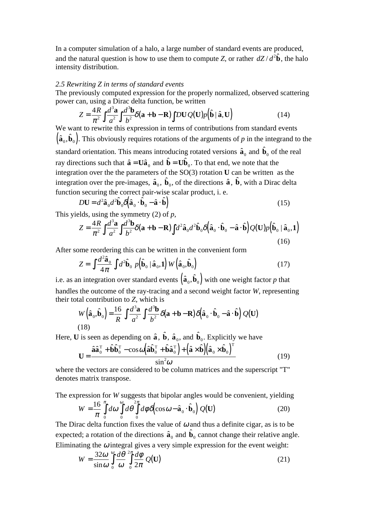In a computer simulation of a halo, a large number of standard events are produced, and the natural question is how to use them to compute *Z*, or rather  $dZ/d^2\hat{\mathbf{b}}$ , the halo intensity distribution.

### *2.5 Rewriting Z in terms of standard events*

The previously computed expression for the properly normalized, observed scattering power can, using a Dirac delta function, be written

$$
Z = \frac{4R}{\pi^2} \int \frac{d^3 \mathbf{a}}{a^2} \int \frac{d^3 \mathbf{b}}{b^2} \delta(\mathbf{a} + \mathbf{b} - \mathbf{R}) \int DUQ(\mathbf{U}) p(\hat{\mathbf{b}} \mid \hat{\mathbf{a}}, \mathbf{U})
$$
(14)

We want to rewrite this expression in terms of contributions from standard events  $(\hat{\bf a}_0, \hat{\bf b}_0)$ . This obviously requires rotations of the arguments of p in the integrand to the standard orientation. This means introducing rotated versions  $\hat{\mathbf{a}}_0$  and  $\hat{\mathbf{b}}_0$  of the real ray directions such that  $\hat{\mathbf{a}} = \mathbf{U}\hat{\mathbf{a}}_0$  and  $\hat{\mathbf{b}} = \mathbf{U}\hat{\mathbf{b}}_0$ . To that end, we note that the integration over the the parameters of the SO(3) rotation **U** can be written as the integration over the pre-images,  $\hat{a}_0$ ,  $\hat{b}_0$ , of the directions  $\hat{a}$ ,  $\hat{b}$ , with a Dirac delta function securing the correct pair-wise scalar product, i. e.

$$
D\mathbf{U} = d^2 \hat{\mathbf{a}}_0 d^2 \hat{\mathbf{b}}_0 \delta \left( \hat{\mathbf{a}}_0 \cdot \hat{\mathbf{b}}_0 - \hat{\mathbf{a}} \cdot \hat{\mathbf{b}} \right)
$$
(15)

This yields, using the symmetry (2) of *p*,

$$
Z = \frac{4R}{\pi^2} \int \frac{d^3 \mathbf{a}}{a^2} \int \frac{d^3 \mathbf{b}}{b^2} \delta(\mathbf{a} + \mathbf{b} - \mathbf{R}) \int d^2 \hat{\mathbf{a}}_0 d^2 \hat{\mathbf{b}}_0 \delta(\hat{\mathbf{a}}_0 \cdot \hat{\mathbf{b}}_0 - \hat{\mathbf{a}} \cdot \hat{\mathbf{b}}) Q(\mathbf{U}) p(\hat{\mathbf{b}}_0 \mid \hat{\mathbf{a}}_0, \mathbf{1})
$$
\n(16)

After some reordering this can be written in the convenient form

$$
Z = \int \frac{d^2 \hat{\mathbf{a}}_0}{4\pi} \int d^2 \hat{\mathbf{b}}_0 \ p(\hat{\mathbf{b}}_0 \mid \hat{\mathbf{a}}_0, \mathbf{1}) \ W\left(\hat{\mathbf{a}}_0, \hat{\mathbf{b}}_0\right) \tag{17}
$$

i.e. as an integration over standard events  $(\hat{a}_0, \hat{b}_0)$  with one weight factor p that handles the outcome of the ray-tracing and a second weight factor *W*, representing their total contribution to *Z*, which is

$$
W(\hat{\mathbf{a}}_0, \hat{\mathbf{b}}_0) = \frac{16}{R} \int \frac{d^3 \mathbf{a}}{a^2} \int \frac{d^3 \mathbf{b}}{b^2} \delta(\mathbf{a} + \mathbf{b} - \mathbf{R}) \delta(\hat{\mathbf{a}}_0 \cdot \hat{\mathbf{b}}_0 - \hat{\mathbf{a}} \cdot \hat{\mathbf{b}}) Q(\mathbf{U})
$$
\n(18)

Here, **U** is seen as depending on  $\hat{\bf a}$  ,  $\hat{\bf b}$  ,  $\hat{\bf a}_0$  , and  $\hat{\bf b}_0$  . Explicitly we have

$$
\mathbf{U} = \frac{\hat{\mathbf{a}}\hat{\mathbf{a}}_0^{\mathrm{T}} + \hat{\mathbf{b}}\hat{\mathbf{b}}_0^{\mathrm{T}} - \cos\omega\left(\hat{\mathbf{a}}\hat{\mathbf{b}}_0^{\mathrm{T}} + \hat{\mathbf{b}}\hat{\mathbf{a}}_0^{\mathrm{T}}\right) + \left(\hat{\mathbf{a}} \times \hat{\mathbf{b}}\right)\left(\hat{\mathbf{a}}_0 \times \hat{\mathbf{b}}_0\right)^{\mathrm{T}}}{\sin^2\omega}
$$
(19)

where the vectors are considered to be column matrices and the superscript "T" denotes matrix transpose.

The expression for *W* suggests that bipolar angles would be convenient, yielding

$$
W = \frac{16}{\pi} \int_{0}^{\pi} d\omega \int_{0}^{\infty} d\theta \int_{0}^{2\pi} d\phi \delta(\cos \omega - \hat{\mathbf{a}}_{0} \cdot \hat{\mathbf{b}}_{0}) Q(\mathbf{U})
$$
(20)

The Dirac delta function fixes the value of  $\omega$  and thus a definite cigar, as is to be expected; a rotation of the directions  $\hat{a}_0$  and  $\hat{b}_0$  cannot change their relative angle. Eliminating the  $\omega$  integral gives a very simple expression for the event weight:

$$
W = \frac{32\omega}{\sin\omega} \int_{0}^{\infty} \frac{d\theta}{\omega} \frac{d\theta}{2\pi} \frac{d\phi}{2\pi} Q(\mathbf{U})
$$
 (21)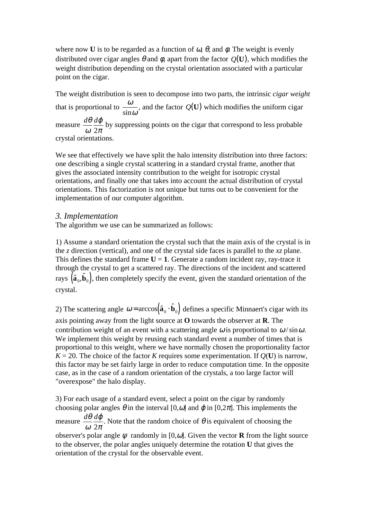where now **U** is to be regarded as a function of  $\omega$ ,  $\theta$ , and  $\phi$ . The weight is evenly distributed over cigar angles  $\theta$  and  $\phi$ , apart from the factor  $O(U)$ , which modifies the weight distribution depending on the crystal orientation associated with a particular point on the cigar.

The weight distribution is seen to decompose into two parts, the intrinsic *cigar weight* that is proportional to  $\frac{\omega}{\omega}$  $\sin \omega$ , and the factor  $Q(U)$  which modifies the uniform cigar measure  $\frac{d\theta}{dt}$ ω ϕ  $2\pi$  by suppressing points on the cigar that correspond to less probable crystal orientations.

We see that effectively we have split the halo intensity distribution into three factors: one describing a single crystal scattering in a standard crystal frame, another that gives the associated intensity contribution to the weight for isotropic crystal orientations, and finally one that takes into account the actual distribution of crystal orientations. This factorization is not unique but turns out to be convenient for the implementation of our computer algorithm.

# *3. Implementation*

The algorithm we use can be summarized as follows:

1) Assume a standard orientation the crystal such that the main axis of the crystal is in the *z* direction (vertical), and one of the crystal side faces is parallel to the *xz* plane. This defines the standard frame  $U = 1$ . Generate a random incident ray, ray-trace it through the crystal to get a scattered ray. The directions of the incident and scattered rays  $(\hat{\mathbf{a}}_0, \hat{\mathbf{b}}_0)$ , then completely specify the event, given the standard orientation of the crystal.

2) The scattering angle  $\omega = \arccos(\hat{\mathbf{a}}_0 \cdot \hat{\mathbf{b}}_0)$  defines a specific Minnaert's cigar with its axis pointing away from the light source at **O** towards the observer at **R**. The contribution weight of an event with a scattering angle  $\omega$  is proportional to  $\omega / \sin \omega$ . We implement this weight by reusing each standard event a number of times that is proportional to this weight, where we have normally chosen the proportionality factor  $K = 20$ . The choice of the factor *K* requires some experimentation. If  $O(U)$  is narrow, this factor may be set fairly large in order to reduce computation time. In the opposite case, as in the case of a random orientation of the crystals, a too large factor will "overexpose" the halo display.

3) For each usage of a standard event, select a point on the cigar by randomly choosing polar angles  $\theta$  in the interval [0,ω] and  $\varphi$  in [0,2 $\pi$ ]. This implements the measure  $\frac{d\theta}{2}$ ω ϕ  $2\pi$ . Note that the random choice of  $\theta$  is equivalent of choosing the observer's polar angle  $\psi$  randomly in [0, $\omega$ ]. Given the vector **R** from the light source to the observer, the polar angles uniquely determine the rotation **U** that gives the orientation of the crystal for the observable event.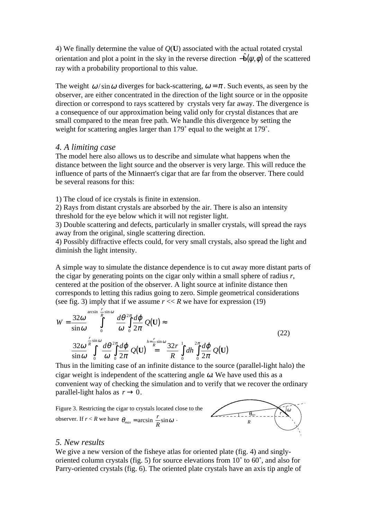4) We finally determine the value of *Q*(**U**) associated with the actual rotated crystal orientation and plot a point in the sky in the reverse direction  $-\hat{\mathbf{b}}(\psi,\phi)$  of the scattered ray with a probability proportional to this value.

The weight  $\omega / \sin \omega$  diverges for back-scattering,  $\omega = \pi$ . Such events, as seen by the observer, are either concentrated in the direction of the light source or in the opposite direction or correspond to rays scattered by crystals very far away. The divergence is a consequence of our approximation being valid only for crystal distances that are small compared to the mean free path. We handle this divergence by setting the weight for scattering angles larger than 179˚ equal to the weight at 179˚.

## *4. A limiting case*

The model here also allows us to describe and simulate what happens when the distance between the light source and the observer is very large. This will reduce the influence of parts of the Minnaert's cigar that are far from the observer. There could be several reasons for this:

1) The cloud of ice crystals is finite in extension.

2) Rays from distant crystals are absorbed by the air. There is also an intensity threshold for the eye below which it will not register light.

3) Double scattering and defects, particularly in smaller crystals, will spread the rays away from the original, single scattering direction.

4) Possibly diffractive effects could, for very small crystals, also spread the light and diminish the light intensity.

A simple way to simulate the distance dependence is to cut away more distant parts of the cigar by generating points on the cigar only within a small sphere of radius *r*, centered at the position of the observer. A light source at infinite distance then corresponds to letting this radius going to zero. Simple geometrical considerations (see fig. 3) imply that if we assume  $r \ll R$  we have for expression (19)

$$
W = \frac{32\omega}{\sin\omega} \int_{0}^{\arcsin\left(\frac{r}{R}\sin\omega\right)} \frac{d\theta}{\omega} \int_{0}^{2\pi} \frac{d\phi}{2\pi} Q(\mathbf{U}) \approx
$$
  

$$
\frac{32\omega}{\sin\omega} \int_{0}^{\frac{r}{R}\sin\omega} \frac{d\theta}{\omega} \int_{0}^{2\pi} \frac{d\phi}{2\pi} Q(\mathbf{U}) \Big|_{0}^{\frac{h-r}{R}\sin\omega} \frac{32r}{R} \int_{0}^{2\pi} dh \int_{0}^{2\pi} \frac{d\phi}{2\pi} Q(\mathbf{U}) \tag{22}
$$

Thus in the limiting case of an infinite distance to the source (parallel-light halo) the cigar weight is independent of the scattering angle  $\omega$ . We have used this as a convenient way of checking the simulation and to verify that we recover the ordinary parallel-light halos as  $r \rightarrow 0$ .



## *5. New results*

We give a new version of the fisheve atlas for oriented plate (fig. 4) and singlyoriented column crystals (fig. 5) for source elevations from 10˚ to 60˚, and also for Parry-oriented crystals (fig. 6). The oriented plate crystals have an axis tip angle of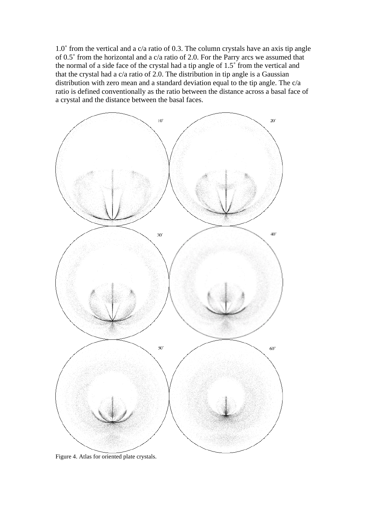1.0˚ from the vertical and a c/a ratio of 0.3. The column crystals have an axis tip angle of 0.5˚ from the horizontal and a c/a ratio of 2.0. For the Parry arcs we assumed that the normal of a side face of the crystal had a tip angle of 1.5˚ from the vertical and that the crystal had a c/a ratio of 2.0. The distribution in tip angle is a Gaussian distribution with zero mean and a standard deviation equal to the tip angle. The c/a ratio is defined conventionally as the ratio between the distance across a basal face of a crystal and the distance between the basal faces.



Figure 4. Atlas for oriented plate crystals.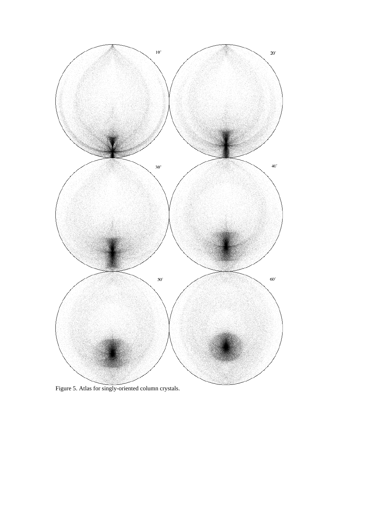

Figure 5. Atlas for singly-oriented column crystals.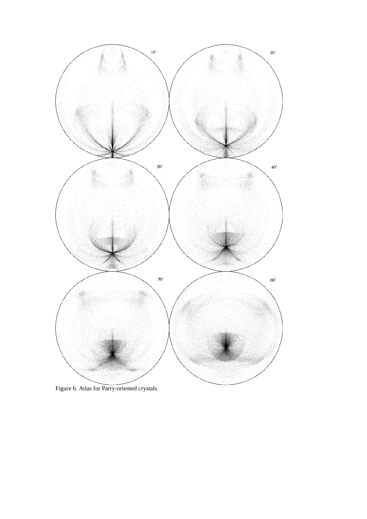

Figure 6. Atlas for Parry-oriented crystals.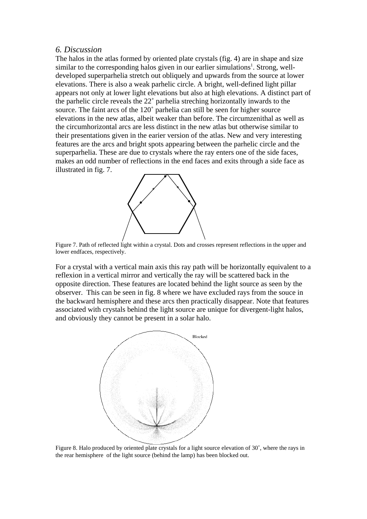# *6. Discussion*

The halos in the atlas formed by oriented plate crystals (fig. 4) are in shape and size similar to the corresponding halos given in our earlier simulations<sup>1</sup>. Strong, welldeveloped superparhelia stretch out obliquely and upwards from the source at lower elevations. There is also a weak parhelic circle. A bright, well-defined light pillar appears not only at lower light elevations but also at high elevations. A distinct part of the parhelic circle reveals the 22˚ parhelia streching horizontally inwards to the source. The faint arcs of the 120˚ parhelia can still be seen for higher source elevations in the new atlas, albeit weaker than before. The circumzenithal as well as the circumhorizontal arcs are less distinct in the new atlas but otherwise similar to their presentations given in the earier version of the atlas. New and very interesting features are the arcs and bright spots appearing between the parhelic circle and the superparhelia. These are due to crystals where the ray enters one of the side faces, makes an odd number of reflections in the end faces and exits through a side face as illustrated in fig. 7.



Figure 7. Path of reflected light within a crystal. Dots and crosses represent reflections in the upper and lower endfaces, respectively.

For a crystal with a vertical main axis this ray path will be horizontally equivalent to a reflexion in a vertical mirror and vertically the ray will be scattered back in the opposite direction. These features are located behind the light source as seen by the observer. This can be seen in fig. 8 where we have excluded rays from the souce in the backward hemisphere and these arcs then practically disappear. Note that features associated with crystals behind the light source are unique for divergent-light halos, and obviously they cannot be present in a solar halo.



Figure 8. Halo produced by oriented plate crystals for a light source elevation of 30˚, where the rays in the rear hemisphere of the light source (behind the lamp) has been blocked out.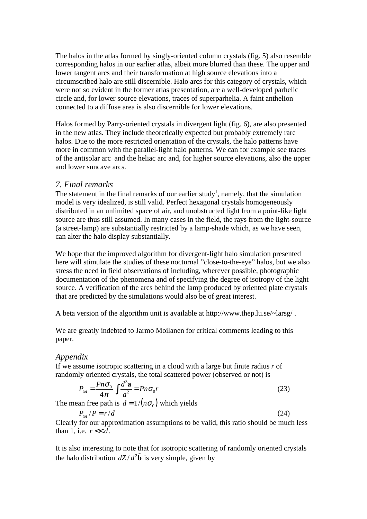The halos in the atlas formed by singly-oriented column crystals (fig. 5) also resemble corresponding halos in our earlier atlas, albeit more blurred than these. The upper and lower tangent arcs and their transformation at high source elevations into a circumscribed halo are still discernible. Halo arcs for this category of crystals, which were not so evident in the former atlas presentation, are a well-developed parhelic circle and, for lower source elevations, traces of superparhelia. A faint anthelion connected to a diffuse area is also discernible for lower elevations.

Halos formed by Parry-oriented crystals in divergent light (fig. 6), are also presented in the new atlas. They include theoretically expected but probably extremely rare halos. Due to the more restricted orientation of the crystals, the halo patterns have more in common with the parallel-light halo patterns. We can for example see traces of the antisolar arc and the heliac arc and, for higher source elevations, also the upper and lower suncave arcs.

# *7. Final remarks*

The statement in the final remarks of our earlier study<sup>1</sup>, namely, that the simulation model is very idealized, is still valid. Perfect hexagonal crystals homogeneously distributed in an unlimited space of air, and unobstructed light from a point-like light source are thus still assumed. In many cases in the field, the rays from the light-source (a street-lamp) are substantially restricted by a lamp-shade which, as we have seen, can alter the halo display substantially.

We hope that the improved algorithm for divergent-light halo simulation presented here will stimulate the studies of these nocturnal "close-to-the-eye" halos, but we also stress the need in field observations of including, wherever possible, photographic documentation of the phenomena and of specifying the degree of isotropy of the light source. A verification of the arcs behind the lamp produced by oriented plate crystals that are predicted by the simulations would also be of great interest.

A beta version of the algorithm unit is available at http://www.thep.lu.se/~larsg/ .

We are greatly indebted to Jarmo Moilanen for critical comments leading to this paper.

## *Appendix*

If we assume isotropic scattering in a cloud with a large but finite radius *r* of randomly oriented crystals, the total scattered power (observed or not) is

$$
P_{tot} = \frac{P n \sigma_0}{4\pi} \int \frac{d^3 \mathbf{a}}{a^2} = P n \sigma_0 r \tag{23}
$$

The mean free path is  $d = 1 / (n \sigma_0)$  which yields

$$
P_{tot}/P = r/d \tag{24}
$$

Clearly for our approximation assumptions to be valid, this ratio should be much less than 1, i.e.  $r \ll d$ .

It is also interesting to note that for isotropic scattering of randomly oriented crystals the halo distribution  $dZ/d^2 \hat{b}$  is very simple, given by